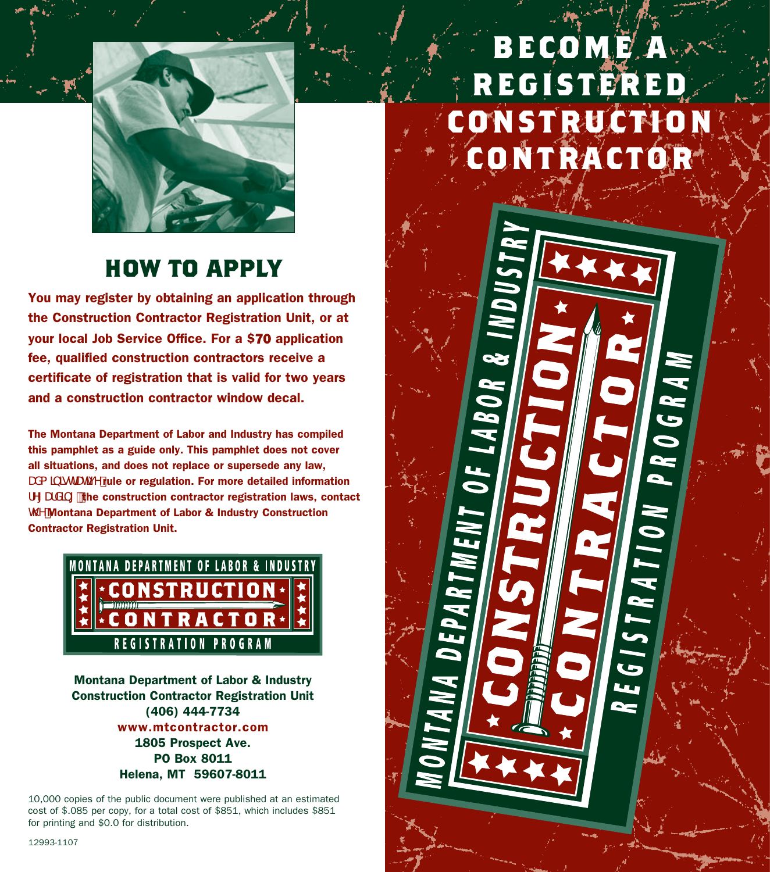

# **Become a registered Construction contractor**

CONSTRUCTION

PROGRA

REGISTRATION

## **how to apply**

You may obtain an application from the Department's Registration Section, your local job service location, or by visiting our website at www.mtcontractor.com.

The application fee is \$70.

The Montana Department of Labor and Industry has compiled this pamphlet as a guide only. This pamphlet does not cover all situations, and does not replace or supersede any law, UXa lblchCHi Y'rule or regulation. For more detailed information fyi UfXIbi "the construction contractor registration laws, contact Hermit My Montana Department of Labor & Industry Registration **Section** 



Montana Department of Labor & Industry Registration Section (406) 444-7734 www.mtcontractor.com 1805 Prospect Ave. PO Box 8011 Helena, MT 59607-8011